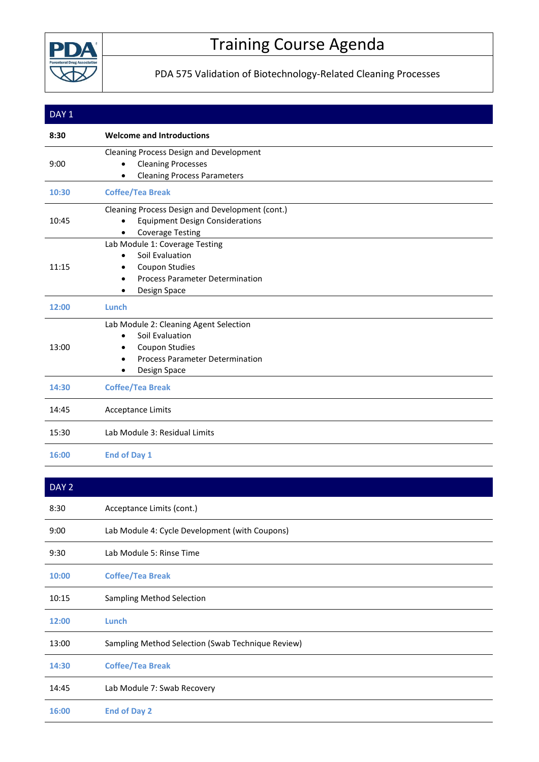

## Training Course Agenda

PDA 575 Validation of Biotechnology-Related Cleaning Processes

## DAY<sub>1</sub> **8:30 Welcome and Introductions** 9:00 Cleaning Process Design and Development • Cleaning Processes • Cleaning Process Parameters **10:30 Coffee/Tea Break** 10:45 Cleaning Process Design and Development (cont.) • Equipment Design Considerations • Coverage Testing 11:15 Lab Module 1: Coverage Testing • Soil Evaluation • Coupon Studies • Process Parameter Determination • Design Space **12:00 Lunch** 13:00 Lab Module 2: Cleaning Agent Selection • Soil Evaluation • Coupon Studies • Process Parameter Determination • Design Space **14:30 Coffee/Tea Break** 14:45 Acceptance Limits 15:30 Lab Module 3: Residual Limits **16:00 End of Day 1**

| DAY 2 |                                                   |
|-------|---------------------------------------------------|
| 8:30  | Acceptance Limits (cont.)                         |
| 9:00  | Lab Module 4: Cycle Development (with Coupons)    |
| 9:30  | Lab Module 5: Rinse Time                          |
| 10:00 | <b>Coffee/Tea Break</b>                           |
| 10:15 | <b>Sampling Method Selection</b>                  |
| 12:00 | Lunch                                             |
| 13:00 | Sampling Method Selection (Swab Technique Review) |
| 14:30 | <b>Coffee/Tea Break</b>                           |
| 14:45 | Lab Module 7: Swab Recovery                       |
| 16:00 | <b>End of Day 2</b>                               |